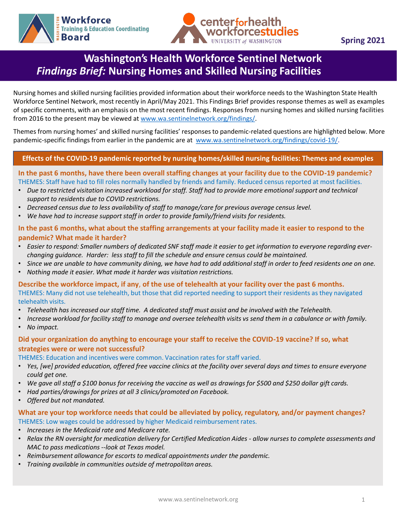**Training & Education Coordinating** 



# **Washington's Health Workforce Sentinel Network**  *Findings Brief:* **Nursing Homes and Skilled Nursing Facilities**

Nursing homes and skilled nursing facilities provided information about their workforce needs to the Washington State Health Workforce Sentinel Network, most recently in April/May 2021. This Findings Brief provides response themes as well as examples of specific comments, with an emphasis on the most recent findings. Responses from nursing homes and skilled nursing facilities from 2016 to the present may be viewed at [www.wa.sentinelnetwork.org/findings/](http://www.wa.sentinelnetwork.org/findings/).

Themes from nursing homes' and skilled nursing facilities' responses to pandemic-related questions are highlighted below. More pandemic-specific findings from earlier in the pandemic are at [www.wa.sentinelnetwork.org/findings/covid-19/](https://wa.sentinelnetwork.org/findings/covid-19/).

### **Effects of the COVID-19 pandemic reported by nursing homes/skilled nursing facilities: Themes and examples**

In the past 6 months, have there been overall staffing changes at your facility due to the COVID-19 pandemic? THEMES: Staff have had to fill roles normally handled by friends and family. Reduced census reported at most facilities.

- *Due to restricted visitation increased workload for staff. Staff had to provide more emotional support and technical support to residents due to COVID restrictions.*
- *Decreased census due to less availability of staff to manage/care for previous average census level.*
- *We have had to increase support staff in order to provide family/friend visits for residents.*

### **In the past 6 months, what about the staffing arrangements at your facility made it easier to respond to the pandemic? What made it harder?**

- *Easier to respond: Smaller numbers of dedicated SNF staff made it easier to get information to everyone regarding everchanging guidance. Harder: less staff to fill the schedule and ensure census could be maintained.*
- *Since we are unable to have community dining, we have had to add additional staff in order to feed residents one on one.*
- *Nothing made it easier. What made it harder was visitation restrictions.*

**Describe the workforce impact, if any**, **of the use of telehealth at your facility over the past 6 months.** THEMES: Many did not use telehealth, but those that did reported needing to support their residents as they navigated telehealth visits.

- *Telehealth has increased our staff time. A dedicated staff must assist and be involved with the Telehealth.*
- *Increase workload for facility staff to manage and oversee telehealth visits vs send them in a cabulance or with family.* • *No impact.*

### **Did your organization do anything to encourage your staff to receive the COVID-19 vaccine? If so, what strategies were or were not successful?**

THEMES: Education and incentives were common. Vaccination rates for staff varied.

- *Yes, [we] provided education, offered free vaccine clinics at the facility over several days and times to ensure everyone could get one.*
- *We gave all staff a \$100 bonus for receiving the vaccine as well as drawings for \$500 and \$250 dollar gift cards.*
- *Had parties/drawings for prizes at all 3 clinics/promoted on Facebook.*
- *Offered but not mandated.*

#### **What are your top workforce needs that could be alleviated by policy, regulatory, and/or payment changes?**  THEMES: Low wages could be addressed by higher Medicaid reimbursement rates.

- *Increases in the Medicaid rate and Medicare rate.*
- *Relax the RN oversight for medication delivery for Certified Medication Aides - allow nurses to complete assessments and MAC to pass medications --look at Texas model.*
- *Reimbursement allowance for escorts to medical appointments under the pandemic.*
- *Training available in communities outside of metropolitan areas.*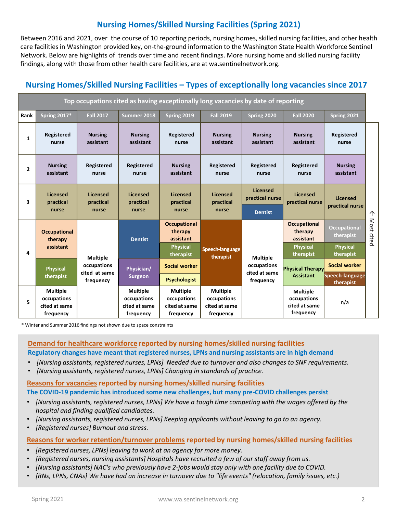# **Nursing Homes/Skilled Nursing Facilities (Spring 2021)**

Between 2016 and 2021, over the course of 10 reporting periods, nursing homes, skilled nursing facilities, and other health care facilities in Washington provided key, on-the-ground information to the Washington State Health Workforce Sentinel Network. Below are highlights of trends over time and recent findings. More nursing home and skilled nursing facility findings, along with those from other health care facilities, are at wa.sentinelnetwork.org.

# **Nursing Homes/Skilled Nursing Facilities – Types of exceptionally long vacancies since 2017**

| Top occupations cited as having exceptionally long vacancies by date of reporting |                                                              |                                           |                                                              |                                                              |                                                              |                                                              |                                                              |                                     |   |
|-----------------------------------------------------------------------------------|--------------------------------------------------------------|-------------------------------------------|--------------------------------------------------------------|--------------------------------------------------------------|--------------------------------------------------------------|--------------------------------------------------------------|--------------------------------------------------------------|-------------------------------------|---|
| Rank                                                                              | <b>Spring 2017*</b>                                          | <b>Fall 2017</b>                          | Summer 2018                                                  | Spring 2019                                                  | <b>Fall 2019</b>                                             | Spring 2020                                                  | <b>Fall 2020</b>                                             | Spring 2021                         |   |
| $\mathbf{1}$                                                                      | Registered<br>nurse                                          | <b>Nursing</b><br>assistant               | <b>Nursing</b><br>assistant                                  | <b>Registered</b><br>nurse                                   | <b>Nursing</b><br>assistant                                  | <b>Nursing</b><br>assistant                                  | <b>Nursing</b><br>assistant                                  | Registered<br>nurse                 |   |
| $\overline{2}$                                                                    | <b>Nursing</b><br>assistant                                  | <b>Registered</b><br>nurse                | <b>Registered</b><br>nurse                                   | <b>Nursing</b><br>assistant                                  | <b>Registered</b><br>nurse                                   | <b>Registered</b><br>nurse                                   | <b>Registered</b><br>nurse                                   | <b>Nursing</b><br>assistant         |   |
| 3                                                                                 | <b>Licensed</b><br>practical<br>nurse                        | <b>Licensed</b><br>practical<br>nurse     | <b>Licensed</b><br>practical<br>nurse                        | <b>Licensed</b><br>practical<br>nurse                        | <b>Licensed</b><br>practical<br>nurse                        | <b>Licensed</b><br>practical nurse<br><b>Dentist</b>         | <b>Licensed</b><br>practical nurse                           | <b>Licensed</b><br>practical nurse  | 个 |
| 4                                                                                 | <b>Occupational</b><br>therapy                               | <b>Dentist</b>                            | <b>Occupational</b><br>therapy<br>assistant                  |                                                              |                                                              | <b>Occupational</b><br>therapy<br>assistant                  | <b>Occupational</b><br>therapist                             | Most<br>cited                       |   |
|                                                                                   | assistant                                                    | <b>Multiple</b>                           |                                                              | <b>Physical</b><br>therapist                                 | <b>Speech-language</b><br>therapist                          | <b>Multiple</b><br>occupations<br>cited at same<br>frequency | <b>Physical</b><br>therapist                                 | <b>Physical</b><br>therapist        |   |
|                                                                                   | <b>Physical</b><br>therapist                                 | occupations<br>cited at same<br>frequency | Physician/<br><b>Surgeon</b>                                 | Social worker                                                |                                                              |                                                              | <b>Physical Therapy</b><br><b>Assistant</b>                  | <b>Social worker</b>                |   |
|                                                                                   |                                                              |                                           |                                                              | <b>Psychologist</b>                                          |                                                              |                                                              |                                                              | <b>Speech-language</b><br>therapist |   |
| 5                                                                                 | <b>Multiple</b><br>occupations<br>cited at same<br>frequency |                                           | <b>Multiple</b><br>occupations<br>cited at same<br>frequency | <b>Multiple</b><br>occupations<br>cited at same<br>frequency | <b>Multiple</b><br>occupations<br>cited at same<br>frequency |                                                              | <b>Multiple</b><br>occupations<br>cited at same<br>frequency | n/a                                 |   |

\* Winter and Summer 2016 findings not shown due to space constraints

**Demand for healthcare workforce reported by nursing homes/skilled nursing facilities Regulatory changes have meant that registered nurses, LPNs and nursing assistants are in high demand** 

- *[Nursing assistants, registered nurses, LPNs] Needed due to turnover and also changes to SNF requirements.*
- *[Nursing assistants, registered nurses, LPNs] Changing in standards of practice.*

**Reasons for vacancies reported by nursing homes/skilled nursing facilities The COVID-19 pandemic has introduced some new challenges, but many pre-COVID challenges persist**

- *[Nursing assistants, registered nurses, LPNs] We have a tough time competing with the wages offered by the hospital and finding qualified candidates.*
- *[Nursing assistants, registered nurses, LPNs] Keeping applicants without leaving to go to an agency.*
- *[Registered nurses] Burnout and stress.*

### **Reasons for worker retention/turnover problems reported by nursing homes/skilled nursing facilities**

- *[Registered nurses, LPNs] leaving to work at an agency for more money.*
- *[Registered nurses, nursing assistants] Hospitals have recruited a few of our staff away from us.*
- *[Nursing assistants] NAC's who previously have 2-jobs would stay only with one facility due to COVID.*
- *[RNs, LPNs, CNAs] We have had an increase in turnover due to "life events" (relocation, family issues, etc.)*